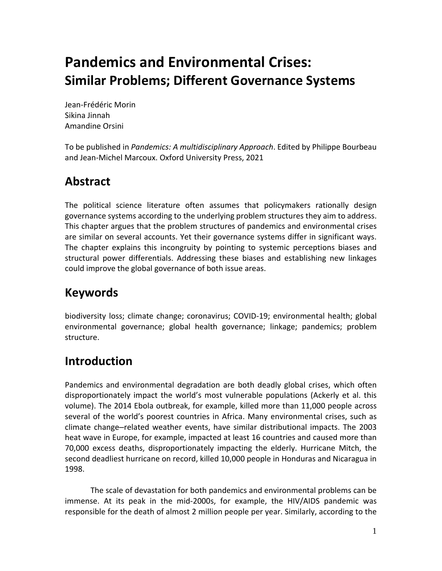# **Pandemics and Environmental Crises: Similar Problems; Different Governance Systems**

Jean-Frédéric Morin Sikina Jinnah Amandine Orsini

To be published in *Pandemics: A multidisciplinary Approach*. Edited by Philippe Bourbeau and Jean-Michel Marcoux. Oxford University Press, 2021

## **Abstract**

The political science literature often assumes that policymakers rationally design governance systems according to the underlying problem structures they aim to address. This chapter argues that the problem structures of pandemics and environmental crises are similar on several accounts. Yet their governance systems differ in significant ways. The chapter explains this incongruity by pointing to systemic perceptions biases and structural power differentials. Addressing these biases and establishing new linkages could improve the global governance of both issue areas.

## **Keywords**

biodiversity loss; climate change; coronavirus; COVID-19; environmental health; global environmental governance; global health governance; linkage; pandemics; problem structure.

## **Introduction**

Pandemics and environmental degradation are both deadly global crises, which often disproportionately impact the world's most vulnerable populations (Ackerly et al. this volume). The 2014 Ebola outbreak, for example, killed more than 11,000 people across several of the world's poorest countries in Africa. Many environmental crises, such as climate change–related weather events, have similar distributional impacts. The 2003 heat wave in Europe, for example, impacted at least 16 countries and caused more than 70,000 excess deaths, disproportionately impacting the elderly. Hurricane Mitch, the second deadliest hurricane on record, killed 10,000 people in Honduras and Nicaragua in 1998.

The scale of devastation for both pandemics and environmental problems can be immense. At its peak in the mid-2000s, for example, the HIV/AIDS pandemic was responsible for the death of almost 2 million people per year. Similarly, according to the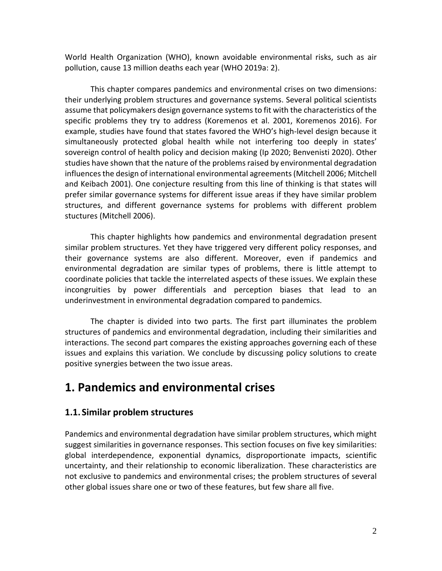World Health Organization (WHO), known avoidable environmental risks, such as air pollution, cause 13 million deaths each year (WHO 2019a: 2).

This chapter compares pandemics and environmental crises on two dimensions: their underlying problem structures and governance systems. Several political scientists assume that policymakers design governance systems to fit with the characteristics of the specific problems they try to address (Koremenos et al. 2001, Koremenos 2016). For example, studies have found that states favored the WHO's high-level design because it simultaneously protected global health while not interfering too deeply in states' sovereign control of health policy and decision making (Ip 2020; Benvenisti 2020). Other studies have shown that the nature of the problems raised by environmental degradation influencesthe design of international environmental agreements(Mitchell 2006; Mitchell and Keibach 2001). One conjecture resulting from this line of thinking is that states will prefer similar governance systems for different issue areas if they have similar problem structures, and different governance systems for problems with different problem stuctures (Mitchell 2006).

This chapter highlights how pandemics and environmental degradation present similar problem structures. Yet they have triggered very different policy responses, and their governance systems are also different. Moreover, even if pandemics and environmental degradation are similar types of problems, there is little attempt to coordinate policies that tackle the interrelated aspects of these issues. We explain these incongruities by power differentials and perception biases that lead to an underinvestment in environmental degradation compared to pandemics.

The chapter is divided into two parts. The first part illuminates the problem structures of pandemics and environmental degradation, including their similarities and interactions. The second part compares the existing approaches governing each of these issues and explains this variation. We conclude by discussing policy solutions to create positive synergies between the two issue areas.

## **1. Pandemics and environmental crises**

#### **1.1. Similar problem structures**

Pandemics and environmental degradation have similar problem structures, which might suggest similarities in governance responses. This section focuses on five key similarities: global interdependence, exponential dynamics, disproportionate impacts, scientific uncertainty, and their relationship to economic liberalization. These characteristics are not exclusive to pandemics and environmental crises; the problem structures of several other global issues share one or two of these features, but few share all five.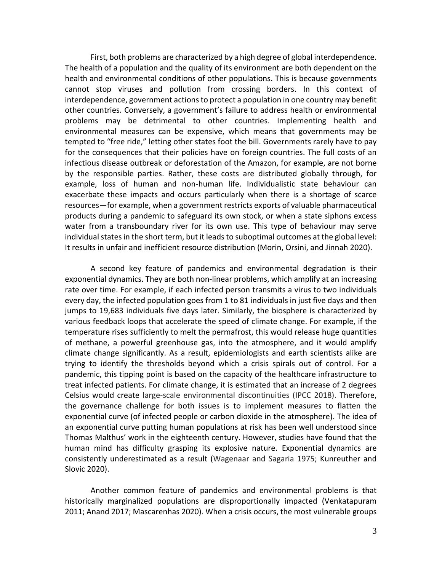First, both problems are characterized by a high degree of global interdependence. The health of a population and the quality of its environment are both dependent on the health and environmental conditions of other populations. This is because governments cannot stop viruses and pollution from crossing borders. In this context of interdependence, government actions to protect a population in one country may benefit other countries. Conversely, a government's failure to address health or environmental problems may be detrimental to other countries. Implementing health and environmental measures can be expensive, which means that governments may be tempted to "free ride," letting other states foot the bill. Governments rarely have to pay for the consequences that their policies have on foreign countries. The full costs of an infectious disease outbreak or deforestation of the Amazon, for example, are not borne by the responsible parties. Rather, these costs are distributed globally through, for example, loss of human and non-human life. Individualistic state behaviour can exacerbate these impacts and occurs particularly when there is a shortage of scarce resources—for example, when a government restricts exports of valuable pharmaceutical products during a pandemic to safeguard its own stock, or when a state siphons excess water from a transboundary river for its own use. This type of behaviour may serve individual states in the short term, but it leads to suboptimal outcomes at the global level: It results in unfair and inefficient resource distribution (Morin, Orsini, and Jinnah 2020).

A second key feature of pandemics and environmental degradation is their exponential dynamics. They are both non-linear problems, which amplify at an increasing rate over time. For example, if each infected person transmits a virus to two individuals every day, the infected population goes from 1 to 81 individuals in just five days and then jumps to 19,683 individuals five days later. Similarly, the biosphere is characterized by various feedback loops that accelerate the speed of climate change. For example, if the temperature rises sufficiently to melt the permafrost, this would release huge quantities of methane, a powerful greenhouse gas, into the atmosphere, and it would amplify climate change significantly. As a result, epidemiologists and earth scientists alike are trying to identify the thresholds beyond which a crisis spirals out of control. For a pandemic, this tipping point is based on the capacity of the healthcare infrastructure to treat infected patients. For climate change, it is estimated that an increase of 2 degrees Celsius would create large-scale environmental discontinuities (IPCC 2018). Therefore, the governance challenge for both issues is to implement measures to flatten the exponential curve (of infected people or carbon dioxide in the atmosphere). The idea of an exponential curve putting human populations at risk has been well understood since Thomas Malthus' work in the eighteenth century. However, studies have found that the human mind has difficulty grasping its explosive nature. Exponential dynamics are consistently underestimated as a result (Wagenaar and Sagaria 1975; Kunreuther and Slovic 2020).

Another common feature of pandemics and environmental problems is that historically marginalized populations are disproportionally impacted (Venkatapuram 2011; Anand 2017; Mascarenhas 2020). When a crisis occurs, the most vulnerable groups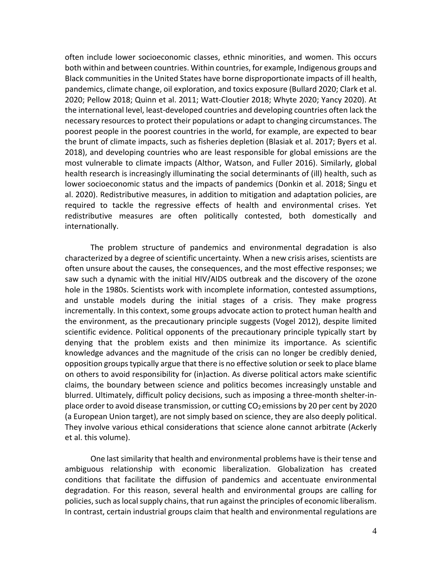often include lower socioeconomic classes, ethnic minorities, and women. This occurs both within and between countries. Within countries, for example, Indigenous groups and Black communities in the United States have borne disproportionate impacts of ill health, pandemics, climate change, oil exploration, and toxics exposure (Bullard 2020; Clark et al. 2020; Pellow 2018; Quinn et al. 2011; Watt-Cloutier 2018; Whyte 2020; Yancy 2020). At the international level, least-developed countries and developing countries often lack the necessary resources to protect their populations or adapt to changing circumstances. The poorest people in the poorest countries in the world, for example, are expected to bear the brunt of climate impacts, such as fisheries depletion (Blasiak et al. 2017; Byers et al. 2018), and developing countries who are least responsible for global emissions are the most vulnerable to climate impacts (Althor, Watson, and Fuller 2016). Similarly, global health research is increasingly illuminating the social determinants of (ill) health, such as lower socioeconomic status and the impacts of pandemics (Donkin et al. 2018; Singu et al. 2020). Redistributive measures, in addition to mitigation and adaptation policies, are required to tackle the regressive effects of health and environmental crises. Yet redistributive measures are often politically contested, both domestically and internationally.

The problem structure of pandemics and environmental degradation is also characterized by a degree of scientific uncertainty. When a new crisis arises, scientists are often unsure about the causes, the consequences, and the most effective responses; we saw such a dynamic with the initial HIV/AIDS outbreak and the discovery of the ozone hole in the 1980s. Scientists work with incomplete information, contested assumptions, and unstable models during the initial stages of a crisis. They make progress incrementally. In this context, some groups advocate action to protect human health and the environment, as the precautionary principle suggests (Vogel 2012), despite limited scientific evidence. Political opponents of the precautionary principle typically start by denying that the problem exists and then minimize its importance. As scientific knowledge advances and the magnitude of the crisis can no longer be credibly denied, opposition groups typically argue that there is no effective solution or seek to place blame on others to avoid responsibility for (in)action. As diverse political actors make scientific claims, the boundary between science and politics becomes increasingly unstable and blurred. Ultimately, difficult policy decisions, such as imposing a three-month shelter-inplace order to avoid disease transmission, or cutting  $CO<sub>2</sub>$  emissions by 20 per cent by 2020 (a European Union target), are not simply based on science, they are also deeply political. They involve various ethical considerations that science alone cannot arbitrate (Ackerly et al. this volume).

One last similarity that health and environmental problems have is their tense and ambiguous relationship with economic liberalization. Globalization has created conditions that facilitate the diffusion of pandemics and accentuate environmental degradation. For this reason, several health and environmental groups are calling for policies, such as local supply chains, that run against the principles of economic liberalism. In contrast, certain industrial groups claim that health and environmental regulations are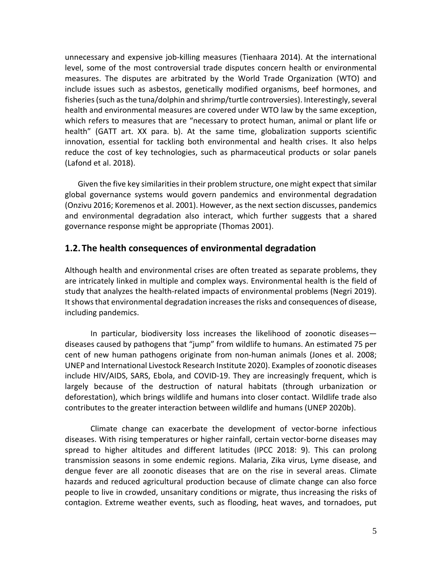unnecessary and expensive job-killing measures (Tienhaara 2014). At the international level, some of the most controversial trade disputes concern health or environmental measures. The disputes are arbitrated by the World Trade Organization (WTO) and include issues such as asbestos, genetically modified organisms, beef hormones, and fisheries (such as the tuna/dolphin and shrimp/turtle controversies). Interestingly, several health and environmental measures are covered under WTO law by the same exception, which refers to measures that are "necessary to protect human, animal or plant life or health" (GATT art. XX para. b). At the same time, globalization supports scientific innovation, essential for tackling both environmental and health crises. It also helps reduce the cost of key technologies, such as pharmaceutical products or solar panels (Lafond et al. 2018).

Given the five key similarities in their problem structure, one might expect that similar global governance systems would govern pandemics and environmental degradation (Onzivu 2016; Koremenos et al. 2001). However, as the next section discusses, pandemics and environmental degradation also interact, which further suggests that a shared governance response might be appropriate (Thomas 2001).

#### **1.2.The health consequences of environmental degradation**

Although health and environmental crises are often treated as separate problems, they are intricately linked in multiple and complex ways. Environmental health is the field of study that analyzes the health-related impacts of environmental problems (Negri 2019). It shows that environmental degradation increases the risks and consequences of disease, including pandemics.

In particular, biodiversity loss increases the likelihood of zoonotic diseases diseases caused by pathogens that "jump" from wildlife to humans. An estimated 75 per cent of new human pathogens originate from non-human animals (Jones et al. 2008; UNEP and International Livestock Research Institute 2020). Examples of zoonotic diseases include HIV/AIDS, SARS, Ebola, and COVID-19. They are increasingly frequent, which is largely because of the destruction of natural habitats (through urbanization or deforestation), which brings wildlife and humans into closer contact. Wildlife trade also contributes to the greater interaction between wildlife and humans (UNEP 2020b).

Climate change can exacerbate the development of vector-borne infectious diseases. With rising temperatures or higher rainfall, certain vector-borne diseases may spread to higher altitudes and different latitudes (IPCC 2018: 9). This can prolong transmission seasons in some endemic regions. Malaria, Zika virus, Lyme disease, and dengue fever are all zoonotic diseases that are on the rise in several areas. Climate hazards and reduced agricultural production because of climate change can also force people to live in crowded, unsanitary conditions or migrate, thus increasing the risks of contagion. Extreme weather events, such as flooding, heat waves, and tornadoes, put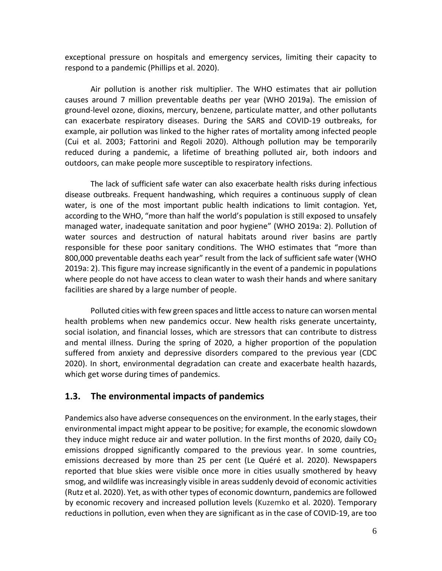exceptional pressure on hospitals and emergency services, limiting their capacity to respond to a pandemic (Phillips et al. 2020).

Air pollution is another risk multiplier. The WHO estimates that air pollution causes around 7 million preventable deaths per year (WHO 2019a). The emission of ground-level ozone, dioxins, mercury, benzene, particulate matter, and other pollutants can exacerbate respiratory diseases. During the SARS and COVID-19 outbreaks, for example, air pollution was linked to the higher rates of mortality among infected people (Cui et al. 2003; Fattorini and Regoli 2020). Although pollution may be temporarily reduced during a pandemic, a lifetime of breathing polluted air, both indoors and outdoors, can make people more susceptible to respiratory infections.

The lack of sufficient safe water can also exacerbate health risks during infectious disease outbreaks. Frequent handwashing, which requires a continuous supply of clean water, is one of the most important public health indications to limit contagion. Yet, according to the WHO, "more than half the world's population is still exposed to unsafely managed water, inadequate sanitation and poor hygiene" (WHO 2019a: 2). Pollution of water sources and destruction of natural habitats around river basins are partly responsible for these poor sanitary conditions. The WHO estimates that "more than 800,000 preventable deaths each year" result from the lack of sufficient safe water (WHO 2019a: 2). This figure may increase significantly in the event of a pandemic in populations where people do not have access to clean water to wash their hands and where sanitary facilities are shared by a large number of people.

Polluted cities with few green spaces and little access to nature can worsen mental health problems when new pandemics occur. New health risks generate uncertainty, social isolation, and financial losses, which are stressors that can contribute to distress and mental illness. During the spring of 2020, a higher proportion of the population suffered from anxiety and depressive disorders compared to the previous year (CDC 2020). In short, environmental degradation can create and exacerbate health hazards, which get worse during times of pandemics.

#### **1.3. The environmental impacts of pandemics**

Pandemics also have adverse consequences on the environment. In the early stages, their environmental impact might appear to be positive; for example, the economic slowdown they induce might reduce air and water pollution. In the first months of 2020, daily  $CO<sub>2</sub>$ emissions dropped significantly compared to the previous year. In some countries, emissions decreased by more than 25 per cent (Le Quéré et al. 2020). Newspapers reported that blue skies were visible once more in cities usually smothered by heavy smog, and wildlife was increasingly visible in areas suddenly devoid of economic activities (Rutz et al. 2020). Yet, as with other types of economic downturn, pandemics are followed by economic recovery and increased pollution levels (Kuzemko et al. 2020). Temporary reductions in pollution, even when they are significant as in the case of COVID-19, are too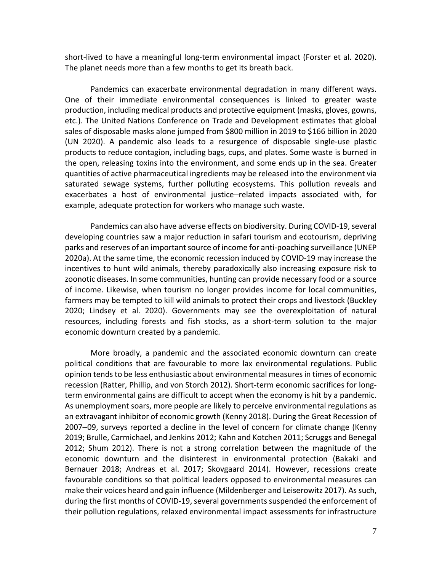short-lived to have a meaningful long-term environmental impact (Forster et al. 2020). The planet needs more than a few months to get its breath back.

Pandemics can exacerbate environmental degradation in many different ways. One of their immediate environmental consequences is linked to greater waste production, including medical products and protective equipment (masks, gloves, gowns, etc.). The United Nations Conference on Trade and Development estimates that global sales of disposable masks alone jumped from \$800 million in 2019 to \$166 billion in 2020 (UN 2020). A pandemic also leads to a resurgence of disposable single-use plastic products to reduce contagion, including bags, cups, and plates. Some waste is burned in the open, releasing toxins into the environment, and some ends up in the sea. Greater quantities of active pharmaceutical ingredients may be released into the environment via saturated sewage systems, further polluting ecosystems. This pollution reveals and exacerbates a host of environmental justice–related impacts associated with, for example, adequate protection for workers who manage such waste.

Pandemics can also have adverse effects on biodiversity. During COVID-19, several developing countries saw a major reduction in safari tourism and ecotourism, depriving parks and reserves of an important source of income for anti-poaching surveillance (UNEP 2020a). At the same time, the economic recession induced by COVID-19 may increase the incentives to hunt wild animals, thereby paradoxically also increasing exposure risk to zoonotic diseases. In some communities, hunting can provide necessary food or a source of income. Likewise, when tourism no longer provides income for local communities, farmers may be tempted to kill wild animals to protect their crops and livestock (Buckley 2020; Lindsey et al. 2020). Governments may see the overexploitation of natural resources, including forests and fish stocks, as a short-term solution to the major economic downturn created by a pandemic.

More broadly, a pandemic and the associated economic downturn can create political conditions that are favourable to more lax environmental regulations. Public opinion tends to be less enthusiastic about environmental measures in times of economic recession (Ratter, Phillip, and von Storch 2012). Short-term economic sacrifices for longterm environmental gains are difficult to accept when the economy is hit by a pandemic. As unemployment soars, more people are likely to perceive environmental regulations as an extravagant inhibitor of economic growth (Kenny 2018). During the Great Recession of 2007–09, surveys reported a decline in the level of concern for climate change (Kenny 2019; Brulle, Carmichael, and Jenkins 2012; Kahn and Kotchen 2011; Scruggs and Benegal 2012; Shum 2012). There is not a strong correlation between the magnitude of the economic downturn and the disinterest in environmental protection (Bakaki and Bernauer 2018; Andreas et al. 2017; Skovgaard 2014). However, recessions create favourable conditions so that political leaders opposed to environmental measures can make their voices heard and gain influence (Mildenberger and Leiserowitz 2017). As such, during the first months of COVID-19, several governments suspended the enforcement of their pollution regulations, relaxed environmental impact assessments for infrastructure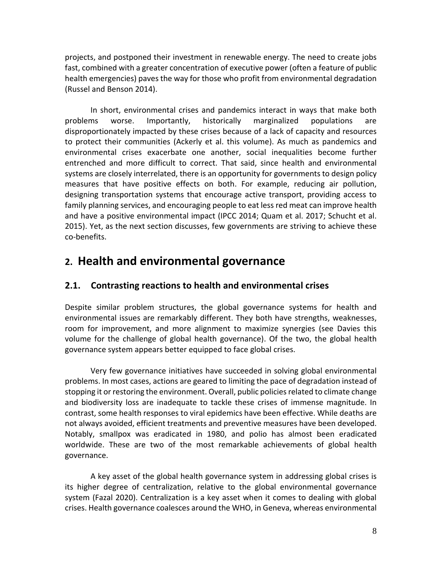projects, and postponed their investment in renewable energy. The need to create jobs fast, combined with a greater concentration of executive power (often a feature of public health emergencies) paves the way for those who profit from environmental degradation (Russel and Benson 2014).

In short, environmental crises and pandemics interact in ways that make both problems worse. Importantly, historically marginalized populations are disproportionately impacted by these crises because of a lack of capacity and resources to protect their communities (Ackerly et al. this volume). As much as pandemics and environmental crises exacerbate one another, social inequalities become further entrenched and more difficult to correct. That said, since health and environmental systems are closely interrelated, there is an opportunity for governments to design policy measures that have positive effects on both. For example, reducing air pollution, designing transportation systems that encourage active transport, providing access to family planning services, and encouraging people to eat less red meat can improve health and have a positive environmental impact (IPCC 2014; Quam et al. 2017; Schucht et al. 2015). Yet, as the next section discusses, few governments are striving to achieve these co-benefits.

## **2. Health and environmental governance**

#### **2.1. Contrasting reactions to health and environmental crises**

Despite similar problem structures, the global governance systems for health and environmental issues are remarkably different. They both have strengths, weaknesses, room for improvement, and more alignment to maximize synergies (see Davies this volume for the challenge of global health governance). Of the two, the global health governance system appears better equipped to face global crises.

Very few governance initiatives have succeeded in solving global environmental problems. In most cases, actions are geared to limiting the pace of degradation instead of stopping it or restoring the environment. Overall, public policies related to climate change and biodiversity loss are inadequate to tackle these crises of immense magnitude. In contrast, some health responses to viral epidemics have been effective. While deaths are not always avoided, efficient treatments and preventive measures have been developed. Notably, smallpox was eradicated in 1980, and polio has almost been eradicated worldwide. These are two of the most remarkable achievements of global health governance.

A key asset of the global health governance system in addressing global crises is its higher degree of centralization, relative to the global environmental governance system (Fazal 2020). Centralization is a key asset when it comes to dealing with global crises. Health governance coalesces around the WHO, in Geneva, whereas environmental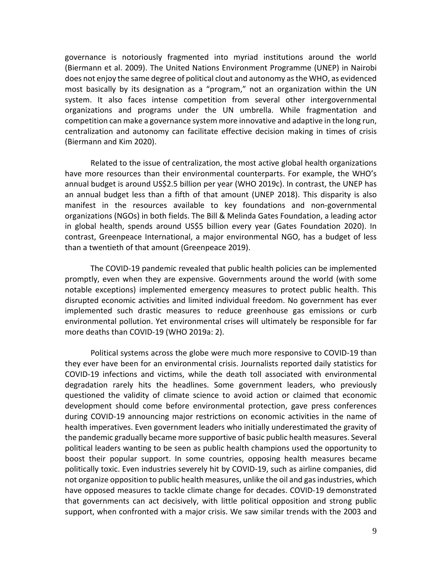governance is notoriously fragmented into myriad institutions around the world (Biermann et al. 2009). The United Nations Environment Programme (UNEP) in Nairobi does not enjoy the same degree of political clout and autonomy as the WHO, as evidenced most basically by its designation as a "program," not an organization within the UN system. It also faces intense competition from several other intergovernmental organizations and programs under the UN umbrella. While fragmentation and competition can make a governance system more innovative and adaptive in the long run, centralization and autonomy can facilitate effective decision making in times of crisis (Biermann and Kim 2020).

Related to the issue of centralization, the most active global health organizations have more resources than their environmental counterparts. For example, the WHO's annual budget is around US\$2.5 billion per year (WHO 2019c). In contrast, the UNEP has an annual budget less than a fifth of that amount (UNEP 2018). This disparity is also manifest in the resources available to key foundations and non-governmental organizations (NGOs) in both fields. The Bill & Melinda Gates Foundation, a leading actor in global health, spends around US\$5 billion every year (Gates Foundation 2020). In contrast, Greenpeace International, a major environmental NGO, has a budget of less than a twentieth of that amount (Greenpeace 2019).

The COVID-19 pandemic revealed that public health policies can be implemented promptly, even when they are expensive. Governments around the world (with some notable exceptions) implemented emergency measures to protect public health. This disrupted economic activities and limited individual freedom. No government has ever implemented such drastic measures to reduce greenhouse gas emissions or curb environmental pollution. Yet environmental crises will ultimately be responsible for far more deaths than COVID-19 (WHO 2019a: 2).

Political systems across the globe were much more responsive to COVID-19 than they ever have been for an environmental crisis. Journalists reported daily statistics for COVID-19 infections and victims, while the death toll associated with environmental degradation rarely hits the headlines. Some government leaders, who previously questioned the validity of climate science to avoid action or claimed that economic development should come before environmental protection, gave press conferences during COVID-19 announcing major restrictions on economic activities in the name of health imperatives. Even government leaders who initially underestimated the gravity of the pandemic gradually became more supportive of basic public health measures. Several political leaders wanting to be seen as public health champions used the opportunity to boost their popular support. In some countries, opposing health measures became politically toxic. Even industries severely hit by COVID-19, such as airline companies, did not organize opposition to public health measures, unlike the oil and gas industries, which have opposed measures to tackle climate change for decades. COVID-19 demonstrated that governments can act decisively, with little political opposition and strong public support, when confronted with a major crisis. We saw similar trends with the 2003 and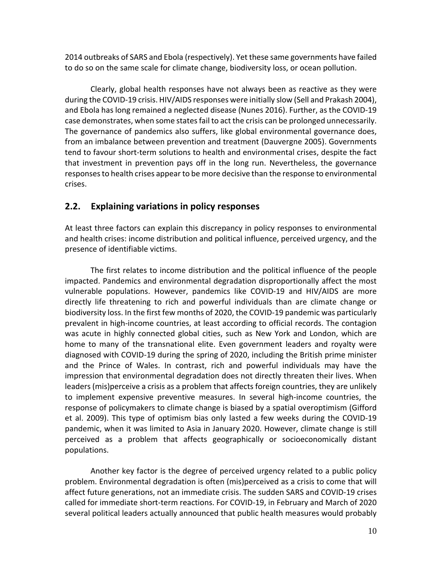2014 outbreaks of SARS and Ebola (respectively). Yet these same governments have failed to do so on the same scale for climate change, biodiversity loss, or ocean pollution.

Clearly, global health responses have not always been as reactive as they were during the COVID-19 crisis. HIV/AIDS responses were initially slow (Sell and Prakash 2004), and Ebola has long remained a neglected disease (Nunes 2016). Further, as the COVID-19 case demonstrates, when some states fail to act the crisis can be prolonged unnecessarily. The governance of pandemics also suffers, like global environmental governance does, from an imbalance between prevention and treatment (Dauvergne 2005). Governments tend to favour short-term solutions to health and environmental crises, despite the fact that investment in prevention pays off in the long run. Nevertheless, the governance responsesto health crises appear to be more decisive than the response to environmental crises.

#### **2.2. Explaining variations in policy responses**

At least three factors can explain this discrepancy in policy responses to environmental and health crises: income distribution and political influence, perceived urgency, and the presence of identifiable victims.

The first relates to income distribution and the political influence of the people impacted. Pandemics and environmental degradation disproportionally affect the most vulnerable populations. However, pandemics like COVID-19 and HIV/AIDS are more directly life threatening to rich and powerful individuals than are climate change or biodiversity loss. In the first few months of 2020, the COVID-19 pandemic was particularly prevalent in high-income countries, at least according to official records. The contagion was acute in highly connected global cities, such as New York and London, which are home to many of the transnational elite. Even government leaders and royalty were diagnosed with COVID-19 during the spring of 2020, including the British prime minister and the Prince of Wales. In contrast, rich and powerful individuals may have the impression that environmental degradation does not directly threaten their lives. When leaders (mis)perceive a crisis as a problem that affects foreign countries, they are unlikely to implement expensive preventive measures. In several high-income countries, the response of policymakers to climate change is biased by a spatial overoptimism (Gifford et al. 2009). This type of optimism bias only lasted a few weeks during the COVID-19 pandemic, when it was limited to Asia in January 2020. However, climate change is still perceived as a problem that affects geographically or socioeconomically distant populations.

Another key factor is the degree of perceived urgency related to a public policy problem. Environmental degradation is often (mis)perceived as a crisis to come that will affect future generations, not an immediate crisis. The sudden SARS and COVID-19 crises called for immediate short-term reactions. For COVID-19, in February and March of 2020 several political leaders actually announced that public health measures would probably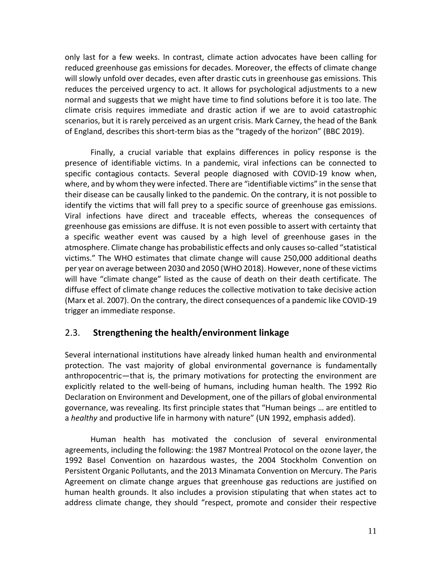only last for a few weeks. In contrast, climate action advocates have been calling for reduced greenhouse gas emissions for decades. Moreover, the effects of climate change will slowly unfold over decades, even after drastic cuts in greenhouse gas emissions. This reduces the perceived urgency to act. It allows for psychological adjustments to a new normal and suggests that we might have time to find solutions before it is too late. The climate crisis requires immediate and drastic action if we are to avoid catastrophic scenarios, but it is rarely perceived as an urgent crisis. Mark Carney, the head of the Bank of England, describes this short-term bias as the "tragedy of the horizon" (BBC 2019).

Finally, a crucial variable that explains differences in policy response is the presence of identifiable victims. In a pandemic, viral infections can be connected to specific contagious contacts. Several people diagnosed with COVID-19 know when, where, and by whom they were infected. There are "identifiable victims" in the sense that their disease can be causally linked to the pandemic. On the contrary, it is not possible to identify the victims that will fall prey to a specific source of greenhouse gas emissions. Viral infections have direct and traceable effects, whereas the consequences of greenhouse gas emissions are diffuse. It is not even possible to assert with certainty that a specific weather event was caused by a high level of greenhouse gases in the atmosphere. Climate change has probabilistic effects and only causes so-called "statistical victims." The WHO estimates that climate change will cause 250,000 additional deaths per year on average between 2030 and 2050 (WHO 2018). However, none of these victims will have "climate change" listed as the cause of death on their death certificate. The diffuse effect of climate change reduces the collective motivation to take decisive action (Marx et al. 2007). On the contrary, the direct consequences of a pandemic like COVID-19 trigger an immediate response.

#### 2.3. **Strengthening the health/environment linkage**

Several international institutions have already linked human health and environmental protection. The vast majority of global environmental governance is fundamentally anthropocentric—that is, the primary motivations for protecting the environment are explicitly related to the well-being of humans, including human health. The 1992 Rio Declaration on Environment and Development, one of the pillars of global environmental governance, was revealing. Its first principle states that "Human beings … are entitled to a *healthy* and productive life in harmony with nature" (UN 1992, emphasis added).

Human health has motivated the conclusion of several environmental agreements, including the following: the 1987 Montreal Protocol on the ozone layer, the 1992 Basel Convention on hazardous wastes, the 2004 Stockholm Convention on Persistent Organic Pollutants, and the 2013 Minamata Convention on Mercury. The Paris Agreement on climate change argues that greenhouse gas reductions are justified on human health grounds. It also includes a provision stipulating that when states act to address climate change, they should "respect, promote and consider their respective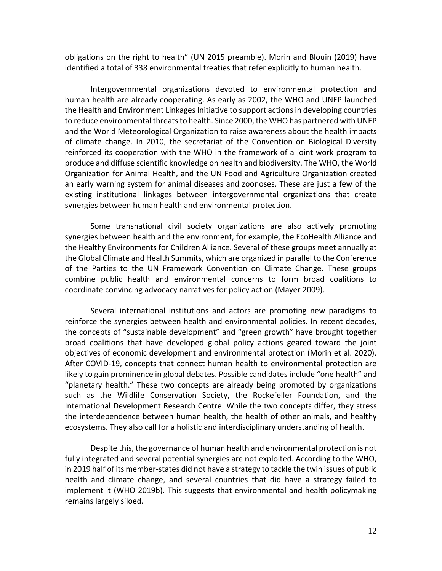obligations on the right to health" (UN 2015 preamble). Morin and Blouin (2019) have identified a total of 338 environmental treaties that refer explicitly to human health.

Intergovernmental organizations devoted to environmental protection and human health are already cooperating. As early as 2002, the WHO and UNEP launched the Health and Environment Linkages Initiative to support actions in developing countries to reduce environmental threats to health. Since 2000, the WHO has partnered with UNEP and the World Meteorological Organization to raise awareness about the health impacts of climate change. In 2010, the secretariat of the Convention on Biological Diversity reinforced its cooperation with the WHO in the framework of a joint work program to produce and diffuse scientific knowledge on health and biodiversity. The WHO, the World Organization for Animal Health, and the UN Food and Agriculture Organization created an early warning system for animal diseases and zoonoses. These are just a few of the existing institutional linkages between intergovernmental organizations that create synergies between human health and environmental protection.

Some transnational civil society organizations are also actively promoting synergies between health and the environment, for example, the EcoHealth Alliance and the Healthy Environments for Children Alliance. Several of these groups meet annually at the Global Climate and Health Summits, which are organized in parallel to the Conference of the Parties to the UN Framework Convention on Climate Change. These groups combine public health and environmental concerns to form broad coalitions to coordinate convincing advocacy narratives for policy action (Mayer 2009).

Several international institutions and actors are promoting new paradigms to reinforce the synergies between health and environmental policies. In recent decades, the concepts of "sustainable development" and "green growth" have brought together broad coalitions that have developed global policy actions geared toward the joint objectives of economic development and environmental protection (Morin et al. 2020). After COVID-19, concepts that connect human health to environmental protection are likely to gain prominence in global debates. Possible candidates include "one health" and "planetary health." These two concepts are already being promoted by organizations such as the Wildlife Conservation Society, the Rockefeller Foundation, and the International Development Research Centre. While the two concepts differ, they stress the interdependence between human health, the health of other animals, and healthy ecosystems. They also call for a holistic and interdisciplinary understanding of health.

Despite this, the governance of human health and environmental protection is not fully integrated and several potential synergies are not exploited. According to the WHO, in 2019 half of its member-states did not have a strategy to tackle the twin issues of public health and climate change, and several countries that did have a strategy failed to implement it (WHO 2019b). This suggests that environmental and health policymaking remains largely siloed.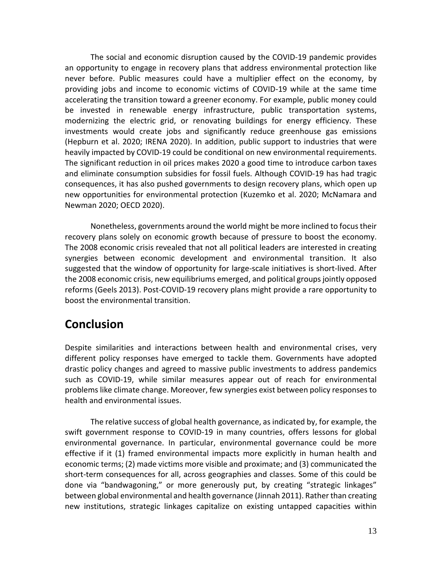The social and economic disruption caused by the COVID-19 pandemic provides an opportunity to engage in recovery plans that address environmental protection like never before. Public measures could have a multiplier effect on the economy, by providing jobs and income to economic victims of COVID-19 while at the same time accelerating the transition toward a greener economy. For example, public money could be invested in renewable energy infrastructure, public transportation systems, modernizing the electric grid, or renovating buildings for energy efficiency. These investments would create jobs and significantly reduce greenhouse gas emissions (Hepburn et al. 2020; IRENA 2020). In addition, public support to industries that were heavily impacted by COVID-19 could be conditional on new environmental requirements. The significant reduction in oil prices makes 2020 a good time to introduce carbon taxes and eliminate consumption subsidies for fossil fuels. Although COVID-19 has had tragic consequences, it has also pushed governments to design recovery plans, which open up new opportunities for environmental protection (Kuzemko et al. 2020; McNamara and Newman 2020; OECD 2020).

Nonetheless, governments around the world might be more inclined to focus their recovery plans solely on economic growth because of pressure to boost the economy. The 2008 economic crisis revealed that not all political leaders are interested in creating synergies between economic development and environmental transition. It also suggested that the window of opportunity for large-scale initiatives is short-lived. After the 2008 economic crisis, new equilibriums emerged, and political groups jointly opposed reforms (Geels 2013). Post-COVID-19 recovery plans might provide a rare opportunity to boost the environmental transition.

## **Conclusion**

Despite similarities and interactions between health and environmental crises, very different policy responses have emerged to tackle them. Governments have adopted drastic policy changes and agreed to massive public investments to address pandemics such as COVID-19, while similar measures appear out of reach for environmental problems like climate change. Moreover, few synergies exist between policy responses to health and environmental issues.

The relative success of global health governance, as indicated by, for example, the swift government response to COVID-19 in many countries, offers lessons for global environmental governance. In particular, environmental governance could be more effective if it (1) framed environmental impacts more explicitly in human health and economic terms; (2) made victims more visible and proximate; and (3) communicated the short-term consequences for all, across geographies and classes. Some of this could be done via "bandwagoning," or more generously put, by creating "strategic linkages" between global environmental and health governance (Jinnah 2011). Rather than creating new institutions, strategic linkages capitalize on existing untapped capacities within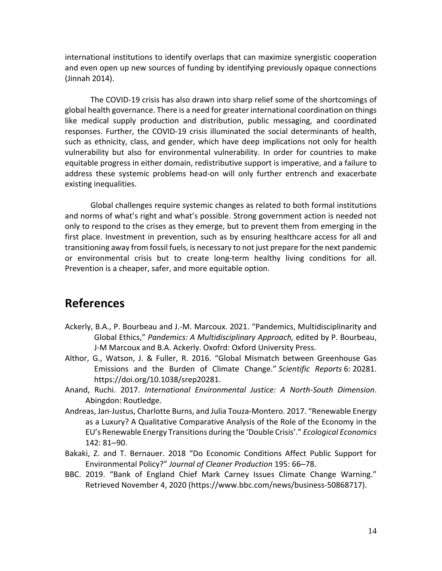international institutions to identify overlaps that can maximize synergistic cooperation and even open up new sources of funding by identifying previously opaque connections (Jinnah 2014).

The COVID-19 crisis has also drawn into sharp relief some of the shortcomings of global health governance. There is a need for greater international coordination on things like medical supply production and distribution, public messaging, and coordinated responses. Further, the COVID-19 crisis illuminated the social determinants of health, such as ethnicity, class, and gender, which have deep implications not only for health vulnerability but also for environmental vulnerability. In order for countries to make equitable progress in either domain, redistributive support is imperative, and a failure to address these systemic problems head-on will only further entrench and exacerbate existing inequalities.

Global challenges require systemic changes as related to both formal institutions and norms of what's right and what's possible. Strong government action is needed not only to respond to the crises as they emerge, but to prevent them from emerging in the first place. Investment in prevention, such as by ensuring healthcare access for all and transitioning away from fossil fuels, is necessary to not just prepare for the next pandemic or environmental crisis but to create long-term healthy living conditions for all. Prevention is a cheaper, safer, and more equitable option.

### **References**

- Ackerly, B.A., P. Bourbeau and J.-M. Marcoux. 2021. "Pandemics, Multidisciplinarity and Global Ethics," *Pandemics: A Multidisciplinary Approach,* edited by P. Bourbeau, J-M Marcoux and B.A. Ackerly. Oxofrd: Oxford University Press.
- Althor, G., Watson, J. & Fuller, R. 2016. "Global Mismatch between Greenhouse Gas Emissions and the Burden of Climate Change." *Scientific Reports* 6: 20281. https://doi.org/10.1038/srep20281.
- Anand, Ruchi. 2017. *International Environmental Justice: A North-South Dimension*. Abingdon: Routledge.
- Andreas, Jan-Justus, Charlotte Burns, and Julia Touza-Montero. 2017. "Renewable Energy as a Luxury? A Qualitative Comparative Analysis of the Role of the Economy in the EU's Renewable Energy Transitions during the 'Double Crisis'." *Ecological Economics*  142: 81–90.
- Bakaki, Z. and T. Bernauer. 2018 "Do Economic Conditions Affect Public Support for Environmental Policy?" *Journal of Cleaner Production* 195: 66–78.
- BBC. 2019. "Bank of England Chief Mark Carney Issues Climate Change Warning." Retrieved November 4, 2020 (https://www.bbc.com/news/business-50868717).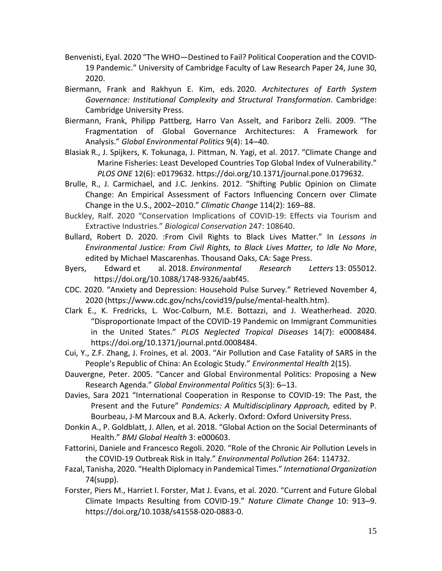- Benvenisti, Eyal. 2020 "The WHO—Destined to Fail? Political Cooperation and the COVID-19 Pandemic." University of Cambridge Faculty of Law Research Paper 24, June 30, 2020.
- Biermann, Frank and Rakhyun E. Kim, eds. 2020. *Architectures of Earth System Governance: Institutional Complexity and Structural Transformation*. Cambridge: Cambridge University Press.
- Biermann, Frank, Philipp Pattberg, Harro Van Asselt, and Fariborz Zelli. 2009. "The Fragmentation of Global Governance Architectures: A Framework for Analysis." *Global Environmental Politics* 9(4): 14–40.
- Blasiak R., J. Spijkers, K. Tokunaga, J. Pittman, N. Yagi, et al. 2017. "Climate Change and Marine Fisheries: Least Developed Countries Top Global Index of Vulnerability." *PLOS ONE* 12(6): e0179632. https://doi.org/10.1371/journal.pone.0179632.
- Brulle, R., J. Carmichael, and J.C. Jenkins. 2012. "Shifting Public Opinion on Climate Change: An Empirical Assessment of Factors Influencing Concern over Climate Change in the U.S., 2002–2010." *Climatic Change* 114(2): 169–88.
- Buckley, Ralf. 2020 "Conservation Implications of COVID-19: Effects via Tourism and Extractive Industries." *Biological Conservation* 247: 108640.
- Bullard, Robert D. 2020. :From Civil Rights to Black Lives Matter." In *Lessons in Environmental Justice: From Civil Rights, to Black Lives Matter, to Idle No More*, edited by Michael Mascarenhas. Thousand Oaks, CA: Sage Press.
- Byers, Edward et al. 2018. *Environmental Research Letters* 13: 055012. https://doi.org/10.1088/1748-9326/aabf45.
- CDC. 2020. "Anxiety and Depression: Household Pulse Survey." Retrieved November 4, 2020 (https://www.cdc.gov/nchs/covid19/pulse/mental-health.htm).
- Clark E., K. Fredricks, L. Woc-Colburn, M.E. Bottazzi, and J. Weatherhead. 2020. "Disproportionate Impact of the COVID-19 Pandemic on Immigrant Communities in the United States." *PLOS Neglected Tropical Diseases* 14(7): e0008484. https://doi.org/10.1371/journal.pntd.0008484.
- Cui, Y., Z.F. Zhang, J. Froines, et al. 2003. "Air Pollution and Case Fatality of SARS in the People's Republic of China: An Ecologic Study." *Environmental Health* 2(15).
- Dauvergne, Peter. 2005. "Cancer and Global Environmental Politics: Proposing a New Research Agenda." *Global Environmental Politics* 5(3): 6–13.
- Davies, Sara 2021 "International Cooperation in Response to COVID-19: The Past, the Present and the Future" *Pandemics: A Multidisciplinary Approach,* edited by P. Bourbeau, J-M Marcoux and B.A. Ackerly. Oxford: Oxford University Press.
- Donkin A., P. Goldblatt, J. Allen*,* et al. 2018. "Global Action on the Social Determinants of Health." *BMJ Global Health* 3: e000603.
- Fattorini, Daniele and Francesco Regoli. 2020. "Role of the Chronic Air Pollution Levels in the COVID-19 Outbreak Risk in Italy." *Environmental Pollution* 264: 114732.
- Fazal, Tanisha, 2020. "Health Diplomacy in Pandemical Times." *International Organization* 74(supp).
- Forster, Piers M., Harriet I. Forster, Mat J. Evans, et al. 2020. "Current and Future Global Climate Impacts Resulting from COVID-19." *Nature Climate Change* 10: 913–9. https://doi.org/10.1038/s41558-020-0883-0.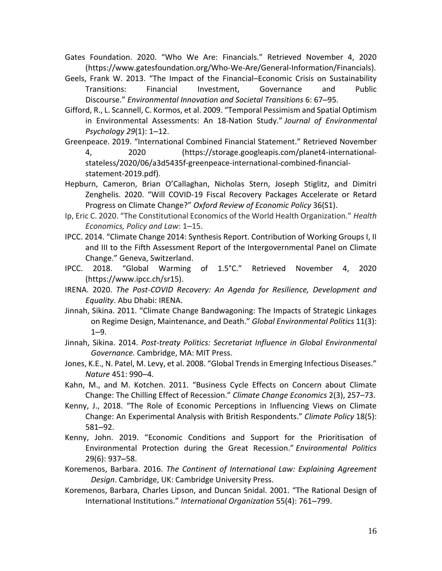- Gates Foundation. 2020. "Who We Are: Financials." Retrieved November 4, 2020 (https://www.gatesfoundation.org/Who-We-Are/General-Information/Financials).
- Geels, Frank W. 2013. "The Impact of the Financial–Economic Crisis on Sustainability Transitions: Financial Investment, Governance and Public Discourse." *Environmental Innovation and Societal Transitions* 6: 67–95.
- Gifford, R., L. Scannell, C. Kormos, et al. 2009. "Temporal Pessimism and Spatial Optimism in Environmental Assessments: An 18-Nation Study." *Journal of Environmental Psychology 29*(1): 1–12.
- Greenpeace. 2019. "International Combined Financial Statement." Retrieved November 4, 2020 (https://storage.googleapis.com/planet4-internationalstateless/2020/06/a3d5435f-greenpeace-international-combined-financialstatement-2019.pdf).
- Hepburn, Cameron, Brian O'Callaghan, Nicholas Stern, Joseph Stiglitz, and Dimitri Zenghelis. 2020. "Will COVID-19 Fiscal Recovery Packages Accelerate or Retard Progress on Climate Change?" *Oxford Review of Economic Policy* 36(S1).
- Ip, Eric C. 2020. "The Constitutional Economics of the World Health Organization." *Health Economics, Policy and Law*: 1–15.
- IPCC. 2014. "Climate Change 2014: Synthesis Report. Contribution of Working Groups I, II and III to the Fifth Assessment Report of the Intergovernmental Panel on Climate Change." Geneva, Switzerland.
- IPCC. 2018. "Global Warming of 1.5°C." Retrieved November 4, 2020 (https://www.ipcc.ch/sr15).
- IRENA. 2020. *The Post-COVID Recovery: An Agenda for Resilience, Development and Equality*. Abu Dhabi: IRENA.
- Jinnah, Sikina. 2011. "Climate Change Bandwagoning: The Impacts of Strategic Linkages on Regime Design, Maintenance, and Death." *Global Environmental Politics* 11(3): 1–9.
- Jinnah, Sikina. 2014. *Post-treaty Politics: Secretariat Influence in Global Environmental Governance.* Cambridge, MA: MIT Press.
- Jones, K.E., N. Patel, M. Levy, et al. 2008. "Global Trends in Emerging Infectious Diseases." *Nature* 451: 990–4.
- Kahn, M., and M. Kotchen. 2011. "Business Cycle Effects on Concern about Climate Change: The Chilling Effect of Recession." *Climate Change Economics* 2(3), 257–73.
- Kenny, J., 2018. "The Role of Economic Perceptions in Influencing Views on Climate Change: An Experimental Analysis with British Respondents." *Climate Policy* 18(5): 581–92.
- Kenny, John. 2019. "Economic Conditions and Support for the Prioritisation of Environmental Protection during the Great Recession." *Environmental Politics* 29(6): 937–58.
- Koremenos, Barbara. 2016. *The Continent of International Law: Explaining Agreement Design*. Cambridge, UK: Cambridge University Press.
- Koremenos, Barbara, Charles Lipson, and Duncan Snidal. 2001. "The Rational Design of International Institutions." *International Organization* 55(4): 761–799.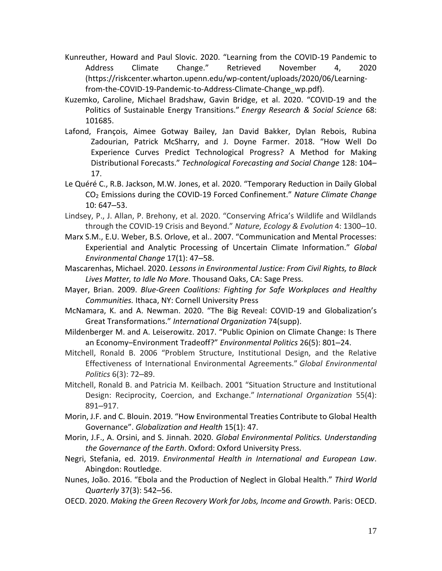- Kunreuther, Howard and Paul Slovic. 2020. "Learning from the COVID-19 Pandemic to Address Climate Change." Retrieved November 4, 2020 (https://riskcenter.wharton.upenn.edu/wp-content/uploads/2020/06/Learningfrom-the-COVID-19-Pandemic-to-Address-Climate-Change\_wp.pdf).
- Kuzemko, Caroline, Michael Bradshaw, Gavin Bridge, et al. 2020. "COVID-19 and the Politics of Sustainable Energy Transitions." *Energy Research & Social Science* 68: 101685.
- Lafond, François, Aimee Gotway Bailey, Jan David Bakker, Dylan Rebois, Rubina Zadourian, Patrick McSharry, and J. Doyne Farmer. 2018. "How Well Do Experience Curves Predict Technological Progress? A Method for Making Distributional Forecasts." *Technological Forecasting and Social Change* 128: 104– 17.
- Le Quéré C., R.B. Jackson, M.W. Jones, et al. 2020. "Temporary Reduction in Daily Global CO<sup>2</sup> Emissions during the COVID-19 Forced Confinement." *Nature Climate Change* 10: 647–53.
- Lindsey, P., J. Allan, P. Brehony, et al. 2020. "Conserving Africa's Wildlife and Wildlands through the COVID-19 Crisis and Beyond." *Nature, Ecology & Evolution* 4: 1300–10.
- Marx S.M., E.U. Weber, B.S. Orlove, et al.. 2007. "Communication and Mental Processes: Experiential and Analytic Processing of Uncertain Climate Information." *Global Environmental Change* 17(1): 47–58.
- Mascarenhas, Michael. 2020. *Lessons in Environmental Justice: From Civil Rights, to Black Lives Matter, to Idle No More*. Thousand Oaks, CA: Sage Press.
- Mayer, Brian. 2009. *Blue-Green Coalitions: Fighting for Safe Workplaces and Healthy Communities.* Ithaca, NY: Cornell University Press
- McNamara, K. and A. Newman. 2020. "The Big Reveal: COVID-19 and Globalization's Great Transformations." *International Organization* 74(supp).
- Mildenberger M. and A. Leiserowitz. 2017. "Public Opinion on Climate Change: Is There an Economy–Environment Tradeoff?" *Environmental Politics* 26(5): 801–24.
- Mitchell, Ronald B. 2006 "Problem Structure, Institutional Design, and the Relative Effectiveness of International Environmental Agreements." *Global Environmental Politics* 6(3): 72–89.
- Mitchell, Ronald B. and Patricia M. Keilbach. 2001 "Situation Structure and Institutional Design: Reciprocity, Coercion, and Exchange." *International Organization* 55(4): 891–917.
- Morin, J.F. and C. Blouin. 2019. "How Environmental Treaties Contribute to Global Health Governance". *Globalization and Health* 15(1): 47.
- Morin, J.F., A. Orsini, and S. Jinnah. 2020. *Global Environmental Politics. Understanding the Governance of the Earth*. Oxford: Oxford University Press.
- Negri, Stefania, ed. 2019. *Environmental Health in International and European Law*. Abingdon: Routledge.
- Nunes, João. 2016. "Ebola and the Production of Neglect in Global Health." *Third World Quarterly* 37(3): 542–56.
- OECD. 2020. *Making the Green Recovery Work for Jobs, Income and Growth.* Paris: OECD.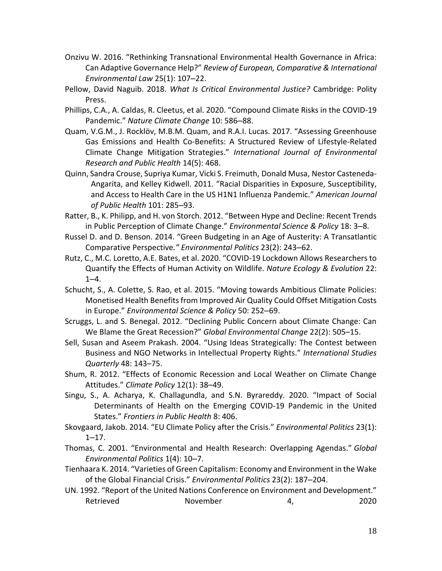- Onzivu W. 2016. "Rethinking Transnational Environmental Health Governance in Africa: Can Adaptive Governance Help?" *Review of European, Comparative & International Environmental Law* 25(1): 107–22.
- Pellow, David Naguib. 2018. *What Is Critical Environmental Justice?* Cambridge: Polity Press.
- Phillips, C.A., A. Caldas, R. Cleetus, et al. 2020. "Compound Climate Risks in the COVID-19 Pandemic." *Nature Climate Change* 10: 586–88.
- Quam, V.G.M., J. Rocklöv, M.B.M. Quam, and R.A.I. Lucas. 2017. "Assessing Greenhouse Gas Emissions and Health Co-Benefits: A Structured Review of Lifestyle-Related Climate Change Mitigation Strategies." *International Journal of Environmental Research and Public Health* 14(5): 468.
- Quinn, Sandra Crouse, Supriya Kumar, Vicki S. Freimuth, Donald Musa, Nestor Casteneda-Angarita, and Kelley Kidwell. 2011. "Racial Disparities in Exposure, Susceptibility, and Access to Health Care in the US H1N1 Influenza Pandemic." *American Journal of Public Health* 101: 285–93.
- Ratter, B., K. Philipp, and H. von Storch. 2012. "Between Hype and Decline: Recent Trends in Public Perception of Climate Change." *Environmental Science & Policy* 18: 3–8.
- Russel D. and D. Benson. 2014. "Green Budgeting in an Age of Austerity: A Transatlantic Comparative Perspective*." Environmental Politics* 23(2): 243–62.
- Rutz, C., M.C. Loretto, A.E. Bates, et al. 2020. "COVID-19 Lockdown Allows Researchers to Quantify the Effects of Human Activity on Wildlife. *Nature Ecology & Evolution* 22:  $1 - 4$ .
- Schucht, S., A. Colette, S. Rao, et al. 2015. "Moving towards Ambitious Climate Policies: Monetised Health Benefits from Improved Air Quality Could Offset Mitigation Costs in Europe." *Environmental Science & Policy* 50: 252–69.
- Scruggs, L. and S. Benegal. 2012. "Declining Public Concern about Climate Change: Can We Blame the Great Recession?" *Global Environmental Change* 22(2): 505–15.
- Sell, Susan and Aseem Prakash. 2004. "Using Ideas Strategically: The Contest between Business and NGO Networks in Intellectual Property Rights." *International Studies Quarterly* 48: 143–75.
- Shum, R. 2012. "Effects of Economic Recession and Local Weather on Climate Change Attitudes." *Climate Policy* 12(1): 38–49.
- Singu, S., A. Acharya, K. Challagundla, and S.N. Byrareddy. 2020. "Impact of Social Determinants of Health on the Emerging COVID-19 Pandemic in the United States." *Frontiers in Public Health* 8: 406.
- Skovgaard, Jakob. 2014. "EU Climate Policy after the Crisis." *Environmental Politics* 23(1):  $1 - 17$ .
- Thomas, C. 2001. "Environmental and Health Research: Overlapping Agendas." *Global Environmental Politics* 1(4): 10–7.
- Tienhaara K. 2014. "Varieties of Green Capitalism: Economy and Environment in the Wake of the Global Financial Crisis." *Environmental Politics* 23(2): 187–204.
- UN. 1992. "Report of the United Nations Conference on Environment and Development." Retrieved November 4, 2020